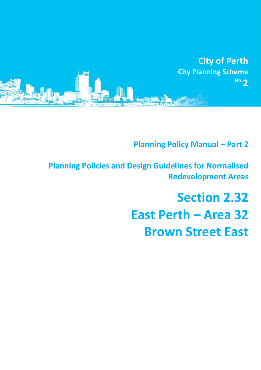

**Planning Policy Manual - Part 2** 

**Planning Policies and Design Guidelines for Normalised Redevelopment Areas**

# **Section 2.32 East Perth – Area 32 Brown Street East**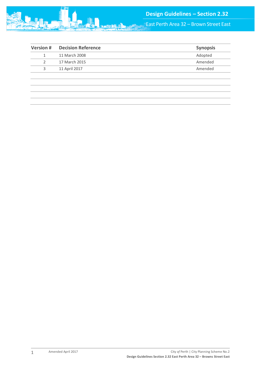

East Perth Area 32 – Brown Street East

| <b>Decision Reference</b> | <b>Synopsis</b> |
|---------------------------|-----------------|
| 11 March 2008             | Adopted         |
| 17 March 2015             | Amended         |
| 11 April 2017             | Amended         |
|                           |                 |
|                           |                 |
|                           |                 |
|                           |                 |
|                           |                 |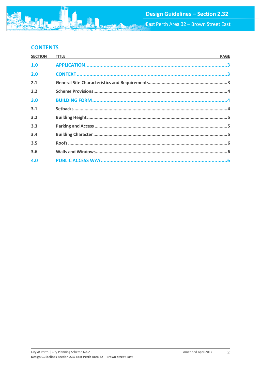# **CONTENTS**

| <b>PAGE</b> |
|-------------|
|             |
|             |
|             |
|             |
|             |
|             |
|             |
|             |
|             |
|             |
|             |
|             |
|             |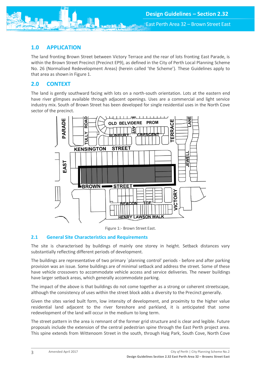<span id="page-3-0"></span>

The land fronting Brown Street between Victory Terrace and the rear of lots fronting East Parade, is within the Brown Street Precinct (Precinct EP9), as defined in the City of Perth Local Planning Scheme No. 26 (Normalised Redevelopment Areas) (herein called 'the Scheme'). These Guidelines apply to that area as shown in Figure 1.

# <span id="page-3-1"></span>**2.0 CONTEXT**

The land is gently southward facing with lots on a north-south orientation. Lots at the eastern end have river glimpses available through adjacent openings. Uses are a commercial and light service industry mix. South of Brown Street has been developed for single residential uses in the North Cove sector of the precinct.





## <span id="page-3-2"></span>**2.1 General Site Characteristics and Requirements**

The site is characterised by buildings of mainly one storey in height. Setback distances vary substantially reflecting different periods of development.

The buildings are representative of two primary `planning control' periods - before and after parking provision was an issue. Some buildings are of minimal setback and address the street. Some of these have vehicle crossovers to accommodate vehicle access and service deliveries. The newer buildings have larger setback areas, which generally accommodate parking.

The impact of the above is that buildings do not come together as a strong or coherent streetscape, although the consistency of uses within the street block adds a diversity to the Precinct generally.

Given the sites varied built form, low intensity of development, and proximity to the higher value residential land adjacent to the river foreshore and parkland, it is anticipated that some redevelopment of the land will occur in the medium to long term.

The street pattern in the area is remnant of the former grid structure and is clear and legible. Future proposals include the extension of the central pedestrian spine through the East Perth project area. This spine extends from Wittenoom Street in the south, through Haig Park, South Cove, North Cove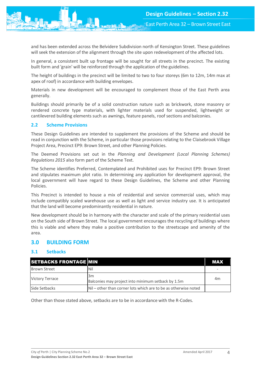and has been extended across the Belvidere Subdivision north of Kensington Street. These guidelines will seek the extension of the alignment through the site upon redevelopment of the affected lots.

In general, a consistent built up frontage will be sought for all streets in the precinct. The existing built form and 'grain' will be reinforced through the application of the guidelines.

The height of buildings in the precinct will be limited to two to four storeys (6m to 12m, 14m max at apex of roof) in accordance with building envelopes.

Materials in new development will be encouraged to complement those of the East Perth area generally.

Buildings should primarily be of a solid construction nature such as brickwork, stone masonry or rendered concrete type materials, with lighter materials used for suspended, lightweight or cantilevered building elements such as awnings, feature panels, roof sections and balconies.

#### <span id="page-4-0"></span>**2.2 Scheme Provisions**

These Design Guidelines are intended to supplement the provisions of the Scheme and should be read in conjunction with the Scheme, in particular those provisions relating to the Claisebrook Village Project Area, Precinct EP9: Brown Street, and other Planning Policies.

The Deemed Provisions set out in the *Planning and Development (Local Planning Schemes) Regulations 2015* also form part of the Scheme Text.

The Scheme identifies Preferred, Contemplated and Prohibited uses for Precinct EP9: Brown Street and stipulates maximum plot ratio. In determining any application for development approval, the local government will have regard to these Design Guidelines, the Scheme and other Planning Policies.

This Precinct is intended to house a mix of residential and service commercial uses, which may include compatibly scaled warehouse use as well as light and service industry use. It is anticipated that the land will become predominantly residential in nature.

New development should be in harmony with the character and scale of the primary residential uses on the South side of Brown Street. The local government encourages the recycling of buildings where this is viable and where they make a positive contribution to the streetscape and amenity of the area.

#### <span id="page-4-1"></span>**3.0 BUILDING FORM**

#### <span id="page-4-2"></span>**3.1 Setbacks**

| <b>SETBACKS FRONTAGE MIN</b> |                                                                  | <b>MAX</b> |
|------------------------------|------------------------------------------------------------------|------------|
| <b>Brown Street</b>          | Nil                                                              |            |
| <b>Victory Terrace</b>       | 3m<br>Balconies may project into minimum setback by 1.5m         | 4m         |
| Side Setbacks                | INil – other than corner lots which are to be as otherwise noted |            |

Other than those stated above, setbacks are to be in accordance with the R-Codes.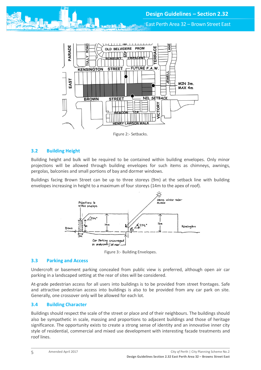East Perth Area 32 – Brown Street East



Figure 2:- Setbacks.

## <span id="page-5-0"></span>**3.2 Building Height**

Building height and bulk will be required to be contained within building envelopes. Only minor projections will be allowed through building envelopes for such items as chimneys, awnings, pergolas, balconies and small portions of bay and dormer windows.

Buildings facing Brown Street can be up to three storeys (9m) at the setback line with building envelopes increasing in height to a maximum of four storeys (14m to the apex of roof).



Figure 3:- Building Envelopes.

#### <span id="page-5-1"></span>**3.3 Parking and Access**

Undercroft or basement parking concealed from public view is preferred, although open air car parking in a landscaped setting at the rear of sites will be considered.

At-grade pedestrian access for all users into buildings is to be provided from street frontages. Safe and attractive pedestrian access into buildings is also to be provided from any car park on site. Generally, one crossover only will be allowed for each lot.

#### <span id="page-5-2"></span>**3.4 Building Character**

Buildings should respect the scale of the street or place and of their neighbours. The buildings should also be sympathetic in scale, massing and proportions to adjacent buildings and those of heritage significance. The opportunity exists to create a strong sense of identity and an innovative inner city style of residential, commercial and mixed use development with interesting facade treatments and roof lines.